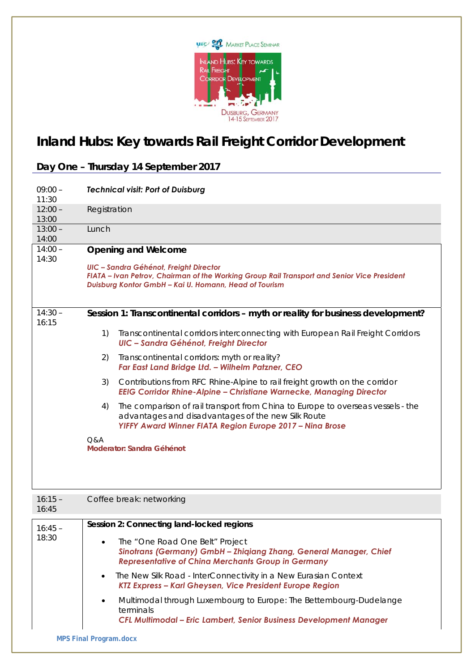

## **Inland Hubs: Key towards Rail Freight Corridor Development**

**Day One – Thursday 14 September 2017**

| $09:00 -$<br>11:30 | <b>Technical visit: Port of Duisburg</b>                                                                                                                                                                |
|--------------------|---------------------------------------------------------------------------------------------------------------------------------------------------------------------------------------------------------|
| $12:00 -$<br>13:00 | Registration                                                                                                                                                                                            |
| $13:00 -$<br>14:00 | Lunch                                                                                                                                                                                                   |
| $14:00 -$<br>14:30 | <b>Opening and Welcome</b>                                                                                                                                                                              |
|                    | <b>UIC - Sandra Géhénot, Freight Director</b><br>FIATA - Ivan Petrov, Chairman of the Working Group Rail Transport and Senior Vice President<br>Duisburg Kontor GmbH - Kai U. Homann, Head of Tourism   |
| $14:30 -$<br>16:15 | Session 1: Transcontinental corridors - myth or reality for business development?                                                                                                                       |
|                    | Transcontinental corridors interconnecting with European Rail Freight Corridors<br>1)<br><b>UIC - Sandra Géhénot, Freight Director</b>                                                                  |
|                    | Transcontinental corridors: myth or reality?<br>2)<br>Far East Land Bridge Ltd. - Wilhelm Patzner, CEO                                                                                                  |
|                    | Contributions from RFC Rhine-Alpine to rail freight growth on the corridor<br>3)<br>EEIG Corridor Rhine-Alpine - Christiane Warnecke, Managing Director                                                 |
|                    | The comparison of rail transport from China to Europe to overseas vessels - the<br>4)<br>advantages and disadvantages of the new Silk Route<br>YIFFY Award Winner FIATA Region Europe 2017 - Nina Brose |
|                    | Q&A<br>Moderator: Sandra Géhénot                                                                                                                                                                        |
|                    |                                                                                                                                                                                                         |
| $16:15 -$<br>16:45 | Coffee break: networking                                                                                                                                                                                |
| $16:45 -$<br>18:30 | Session 2: Connecting land-locked regions                                                                                                                                                               |
|                    | The "One Road One Belt" Project<br>Sinotrans (Germany) GmbH - Zhiqiang Zhang, General Manager, Chief<br><b>Representative of China Merchants Group in Germany</b>                                       |
|                    | The New Silk Road - InterConnectivity in a New Eurasian Context<br>KTZ Express - Karl Gheysen, Vice President Europe Region                                                                             |
|                    | Multimodal through Luxembourg to Europe: The Bettembourg-Dudelange<br>$\bullet$<br>terminals<br>CFL Multimodal - Eric Lambert, Senior Business Development Manager                                      |
|                    | <b>MPS Final Program.docx</b>                                                                                                                                                                           |